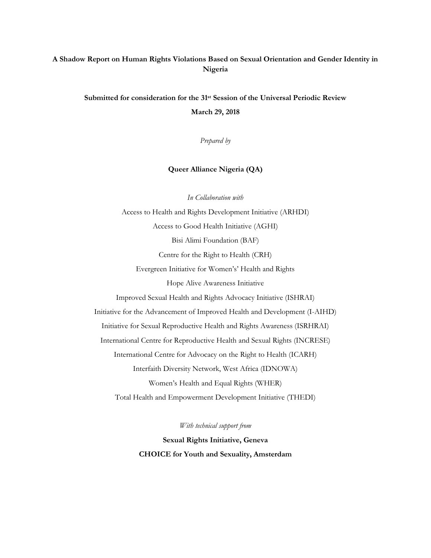# **A Shadow Report on Human Rights Violations Based on Sexual Orientation and Gender Identity in Nigeria**

**Submitted for consideration for the 31st Session of the Universal Periodic Review**

**March 29, 2018**

*Prepared by*

**Queer Alliance Nigeria (QA)**

*In Collaboration with*

Access to Health and Rights Development Initiative (ARHDI) Access to Good Health Initiative (AGHI) Bisi Alimi Foundation (BAF) Centre for the Right to Health (CRH) Evergreen Initiative for Women's' Health and Rights Hope Alive Awareness Initiative Improved Sexual Health and Rights Advocacy Initiative (ISHRAI) Initiative for the Advancement of Improved Health and Development (I-AIHD) Initiative for Sexual Reproductive Health and Rights Awareness (ISRHRAI) International Centre for Reproductive Health and Sexual Rights (INCRESE) International Centre for Advocacy on the Right to Health (ICARH) Interfaith Diversity Network, West Africa (IDNOWA) Women's Health and Equal Rights (WHER) Total Health and Empowerment Development Initiative (THEDI)

*With technical support from*

**Sexual Rights Initiative, Geneva CHOICE for Youth and Sexuality, Amsterdam**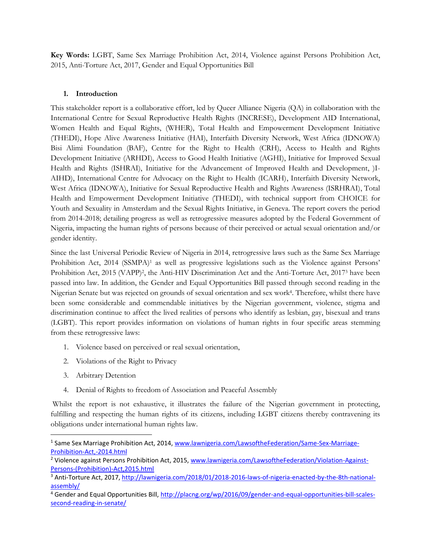**Key Words:** LGBT, Same Sex Marriage Prohibition Act, 2014, Violence against Persons Prohibition Act, 2015, Anti-Torture Act, 2017, Gender and Equal Opportunities Bill

## **1. Introduction**

This stakeholder report is a collaborative effort, led by Queer Alliance Nigeria (QA) in collaboration with the International Centre for Sexual Reproductive Health Rights (INCRESE), Development AID International, Women Health and Equal Rights, (WHER), Total Health and Empowerment Development Initiative (THEDI), Hope Alive Awareness Initiative (HAI), Interfaith Diversity Network, West Africa (IDNOWA) Bisi Alimi Foundation (BAF), Centre for the Right to Health (CRH), Access to Health and Rights Development Initiative (ARHDI), Access to Good Health Initiative (AGHI), Initiative for Improved Sexual Health and Rights (ISHRAI), Initiative for the Advancement of Improved Health and Development, )I-AIHD), International Centre for Advocacy on the Right to Health (ICARH), Interfaith Diversity Network, West Africa (IDNOWA), Initiative for Sexual Reproductive Health and Rights Awareness (ISRHRAI), Total Health and Empowerment Development Initiative (THEDI), with technical support from CHOICE for Youth and Sexuality in Amsterdam and the Sexual Rights Initiative, in Geneva. The report covers the period from 2014-2018; detailing progress as well as retrogressive measures adopted by the Federal Government of Nigeria, impacting the human rights of persons because of their perceived or actual sexual orientation and/or gender identity.

Since the last Universal Periodic Review of Nigeria in 2014, retrogressive laws such as the Same Sex Marriage Prohibition Act, 2014 (SSMPA)<sup>1</sup> as well as progressive legislations such as the Violence against Persons' Prohibition Act, 2015 (VAPP)<sup>2</sup>, the Anti-HIV Discrimination Act and the Anti-Torture Act, 2017<sup>3</sup> have been passed into law. In addition, the Gender and Equal Opportunities Bill passed through second reading in the Nigerian Senate but was rejected on grounds of sexual orientation and sex work<sup>4</sup> . Therefore, whilst there have been some considerable and commendable initiatives by the Nigerian government, violence, stigma and discrimination continue to affect the lived realities of persons who identify as lesbian, gay, bisexual and trans (LGBT). This report provides information on violations of human rights in four specific areas stemming from these retrogressive laws:

- 1. Violence based on perceived or real sexual orientation,
- 2. Violations of the Right to Privacy
- 3. Arbitrary Detention

 $\overline{a}$ 

4. Denial of Rights to freedom of Association and Peaceful Assembly

Whilst the report is not exhaustive, it illustrates the failure of the Nigerian government in protecting, fulfilling and respecting the human rights of its citizens, including LGBT citizens thereby contravening its obligations under international human rights law.

<sup>&</sup>lt;sup>1</sup> Same Sex Marriage Prohibition Act, 2014, [www.lawnigeria.com/LawsoftheFederation/Same-Sex-Marriage-](http://www.lawnigeria.com/LawsoftheFederation/Same-Sex-Marriage-Prohibition-Act,-2014.html)[Prohibition-Act,-2014.html](http://www.lawnigeria.com/LawsoftheFederation/Same-Sex-Marriage-Prohibition-Act,-2014.html)

<sup>&</sup>lt;sup>2</sup> Violence against Persons Prohibition Act, 2015, [www.lawnigeria.com/LawsoftheFederation/Violation-Against-](http://www.lawnigeria.com/LawsoftheFederation/Violation-Against-Persons-(Prohibition)-Act,2015.html)[Persons-\(Prohibition\)-Act,2015.html](http://www.lawnigeria.com/LawsoftheFederation/Violation-Against-Persons-(Prohibition)-Act,2015.html)

<sup>3</sup> Anti-Torture Act, 2017, [http://lawnigeria.com/2018/01/2018-2016-laws-of-nigeria-enacted-by-the-8th-national](http://lawnigeria.com/2018/01/2018-2016-laws-of-nigeria-enacted-by-the-8th-national-assembly/)[assembly/](http://lawnigeria.com/2018/01/2018-2016-laws-of-nigeria-enacted-by-the-8th-national-assembly/)

<sup>&</sup>lt;sup>4</sup> Gender and Equal Opportunities Bill, [http://placng.org/wp/2016/09/gender-and-equal-opportunities-bill-scales](http://placng.org/wp/2016/09/gender-and-equal-opportunities-bill-scales-second-reading-in-senate/)[second-reading-in-senate/](http://placng.org/wp/2016/09/gender-and-equal-opportunities-bill-scales-second-reading-in-senate/)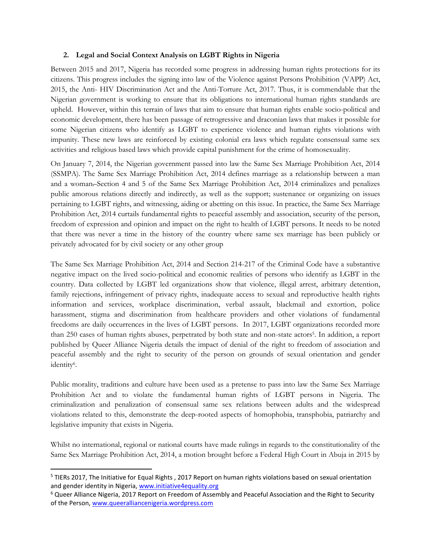### **2. Legal and Social Context Analysis on LGBT Rights in Nigeria**

Between 2015 and 2017, Nigeria has recorded some progress in addressing human rights protections for its citizens. This progress includes the signing into law of the Violence against Persons Prohibition (VAPP) Act, 2015, the Anti- HIV Discrimination Act and the Anti-Torture Act, 2017. Thus, it is commendable that the Nigerian government is working to ensure that its obligations to international human rights standards are upheld. However, within this terrain of laws that aim to ensure that human rights enable socio-political and economic development, there has been passage of retrogressive and draconian laws that makes it possible for some Nigerian citizens who identify as LGBT to experience violence and human rights violations with impunity. These new laws are reinforced by existing colonial era laws which regulate consensual same sex activities and religious based laws which provide capital punishment for the crime of homosexuality.

On January 7, 2014, the Nigerian government passed into law the Same Sex Marriage Prohibition Act, 2014 (SSMPA). The Same Sex Marriage Prohibition Act, 2014 defines marriage as a relationship between a man and a woman. Section 4 and 5 of the Same Sex Marriage Prohibition Act, 2014 criminalizes and penalizes public amorous relations directly and indirectly, as well as the support; sustenance or organizing on issues pertaining to LGBT rights, and witnessing, aiding or abetting on this issue. In practice, the Same Sex Marriage Prohibition Act, 2014 curtails fundamental rights to peaceful assembly and association, security of the person, freedom of expression and opinion and impact on the right to health of LGBT persons. It needs to be noted that there was never a time in the history of the country where same sex marriage has been publicly or privately advocated for by civil society or any other group

The Same Sex Marriage Prohibition Act, 2014 and Section 214-217 of the Criminal Code have a substantive negative impact on the lived socio-political and economic realities of persons who identify as LGBT in the country. Data collected by LGBT led organizations show that violence, illegal arrest, arbitrary detention, family rejections, infringement of privacy rights, inadequate access to sexual and reproductive health rights information and services, workplace discrimination, verbal assault, blackmail and extortion, police harassment, stigma and discrimination from healthcare providers and other violations of fundamental freedoms are daily occurrences in the lives of LGBT persons. In 2017, LGBT organizations recorded more than 250 cases of human rights abuses, perpetrated by both state and non-state actors<sup>5</sup> . In addition, a report published by Queer Alliance Nigeria details the impact of denial of the right to freedom of association and peaceful assembly and the right to security of the person on grounds of sexual orientation and gender identity<sup>6</sup> .

Public morality, traditions and culture have been used as a pretense to pass into law the Same Sex Marriage Prohibition Act and to violate the fundamental human rights of LGBT persons in Nigeria. The criminalization and penalization of consensual same sex relations between adults and the widespread violations related to this, demonstrate the deep-rooted aspects of homophobia, transphobia, patriarchy and legislative impunity that exists in Nigeria.

Whilst no international, regional or national courts have made rulings in regards to the constitutionality of the Same Sex Marriage Prohibition Act, 2014, a motion brought before a Federal High Court in Abuja in 2015 by

<sup>&</sup>lt;sup>5</sup> TIERs 2017, The Initiative for Equal Rights, 2017 Report on human rights violations based on sexual orientation and gender identity in Nigeria[, www.initiative4equality.org](http://www.initiative4equality.org/)

<sup>6</sup> Queer Alliance Nigeria, 2017 Report on Freedom of Assembly and Peaceful Association and the Right to Security of the Person, [www.queeralliancenigeria.wordpress.com](http://www.queeralliancenigeria.wordpress.com/)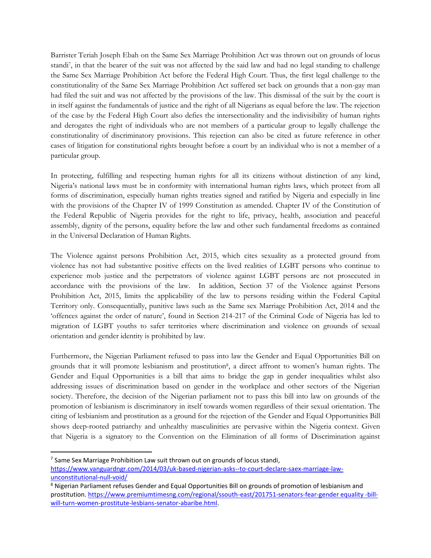Barrister Teriah Joseph Ebah on the Same Sex Marriage Prohibition Act was thrown out on grounds of locus standi<sup>7</sup> , in that the bearer of the suit was not affected by the said law and had no legal standing to challenge the Same Sex Marriage Prohibition Act before the Federal High Court. Thus, the first legal challenge to the constitutionality of the Same Sex Marriage Prohibition Act suffered set back on grounds that a non-gay man had filed the suit and was not affected by the provisions of the law. This dismissal of the suit by the court is in itself against the fundamentals of justice and the right of all Nigerians as equal before the law. The rejection of the case by the Federal High Court also defies the intersectionality and the indivisibility of human rights and derogates the right of individuals who are not members of a particular group to legally challenge the constitutionality of discriminatory provisions. This rejection can also be cited as future reference in other cases of litigation for constitutional rights brought before a court by an individual who is not a member of a particular group.

In protecting, fulfilling and respecting human rights for all its citizens without distinction of any kind, Nigeria's national laws must be in conformity with international human rights laws, which protect from all forms of discrimination, especially human rights treaties signed and ratified by Nigeria and especially in line with the provisions of the Chapter IV of 1999 Constitution as amended. Chapter IV of the Constitution of the Federal Republic of Nigeria provides for the right to life, privacy, health, association and peaceful assembly, dignity of the persons, equality before the law and other such fundamental freedoms as contained in the Universal Declaration of Human Rights.

The Violence against persons Prohibition Act, 2015, which cites sexuality as a protected ground from violence has not had substantive positive effects on the lived realities of LGBT persons who continue to experience mob justice and the perpetrators of violence against LGBT persons are not prosecuted in accordance with the provisions of the law. In addition, Section 37 of the Violence against Persons Prohibition Act, 2015, limits the applicability of the law to persons residing within the Federal Capital Territory only. Consequentially, punitive laws such as the Same sex Marriage Prohibition Act, 2014 and the 'offences against the order of nature', found in Section 214-217 of the Criminal Code of Nigeria has led to migration of LGBT youths to safer territories where discrimination and violence on grounds of sexual orientation and gender identity is prohibited by law.

Furthermore, the Nigerian Parliament refused to pass into law the Gender and Equal Opportunities Bill on grounds that it will promote lesbianism and prostitution<sup>8</sup>, a direct affront to women's human rights. The Gender and Equal Opportunities is a bill that aims to bridge the gap in gender inequalities whilst also addressing issues of discrimination based on gender in the workplace and other sectors of the Nigerian society. Therefore, the decision of the Nigerian parliament not to pass this bill into law on grounds of the promotion of lesbianism is discriminatory in itself towards women regardless of their sexual orientation. The citing of lesbianism and prostitution as a ground for the rejection of the Gender and Equal Opportunities Bill shows deep-rooted patriarchy and unhealthy masculinities are pervasive within the Nigeria context. Given that Nigeria is a signatory to the Convention on the Elimination of all forms of Discrimination against

<sup>&</sup>lt;sup>7</sup> Same Sex Marriage Prohibition Law suit thrown out on grounds of locus standi,

[https://www.vanguardngr.com/2014/03/uk-based-nigerian-asks--to-court-declare-saex-marriage-law](https://www.vanguardngr.com/2014/03/uk-based-nigerian-asks--to-court-declare-saex-marriage-law-unconstitutional-null-void/)[unconstitutional-null-void/](https://www.vanguardngr.com/2014/03/uk-based-nigerian-asks--to-court-declare-saex-marriage-law-unconstitutional-null-void/)

<sup>&</sup>lt;sup>8</sup> Nigerian Parliament refuses Gender and Equal Opportunities Bill on grounds of promotion of lesbianism and prostitution. [https://www.premiumtimesng.com/regional/ssouth-east/201751-senators-fear-gender equality -bill](https://www.premiumtimesng.com/regional/ssouth-east/201751-senators-fear-gender%20equality%20-bill-will-turn-women-prostitute-lesbians-senator-abaribe.html)[will-turn-women-prostitute-lesbians-senator-abaribe.html.](https://www.premiumtimesng.com/regional/ssouth-east/201751-senators-fear-gender%20equality%20-bill-will-turn-women-prostitute-lesbians-senator-abaribe.html)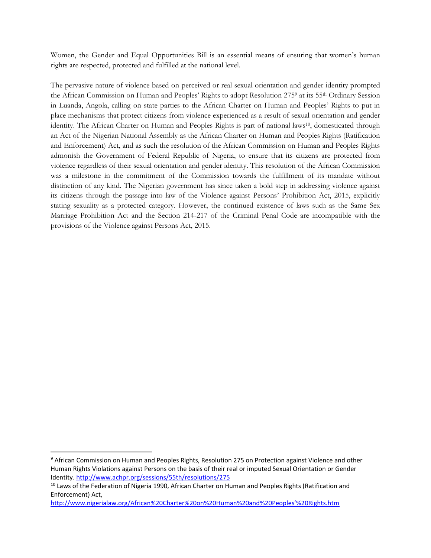Women, the Gender and Equal Opportunities Bill is an essential means of ensuring that women's human rights are respected, protected and fulfilled at the national level.

The pervasive nature of violence based on perceived or real sexual orientation and gender identity prompted the African Commission on Human and Peoples' Rights to adopt Resolution 275<sup>9</sup> at its 55th Ordinary Session in Luanda, Angola, calling on state parties to the African Charter on Human and Peoples' Rights to put in place mechanisms that protect citizens from violence experienced as a result of sexual orientation and gender identity. The African Charter on Human and Peoples Rights is part of national laws<sup>10</sup>, domesticated through an Act of the Nigerian National Assembly as the African Charter on Human and Peoples Rights (Ratification and Enforcement) Act, and as such the resolution of the African Commission on Human and Peoples Rights admonish the Government of Federal Republic of Nigeria, to ensure that its citizens are protected from violence regardless of their sexual orientation and gender identity. This resolution of the African Commission was a milestone in the commitment of the Commission towards the fulfillment of its mandate without distinction of any kind. The Nigerian government has since taken a bold step in addressing violence against its citizens through the passage into law of the Violence against Persons' Prohibition Act, 2015, explicitly stating sexuality as a protected category. However, the continued existence of laws such as the Same Sex Marriage Prohibition Act and the Section 214-217 of the Criminal Penal Code are incompatible with the provisions of the Violence against Persons Act, 2015.

<sup>9</sup> African Commission on Human and Peoples Rights, Resolution 275 on Protection against Violence and other Human Rights Violations against Persons on the basis of their real or imputed Sexual Orientation or Gender Identity[. http://www.achpr.org/sessions/55th/resolutions/275](http://www.achpr.org/sessions/55th/resolutions/275)

<sup>&</sup>lt;sup>10</sup> Laws of the Federation of Nigeria 1990, African Charter on Human and Peoples Rights (Ratification and Enforcement) Act,

[http://www.nigerialaw.org/African%20Charter%20on%20Human%20and%20Peoples'%20Rights.htm](http://www.nigerialaw.org/African%20Charter%20on%20Human%20and%20Peoples)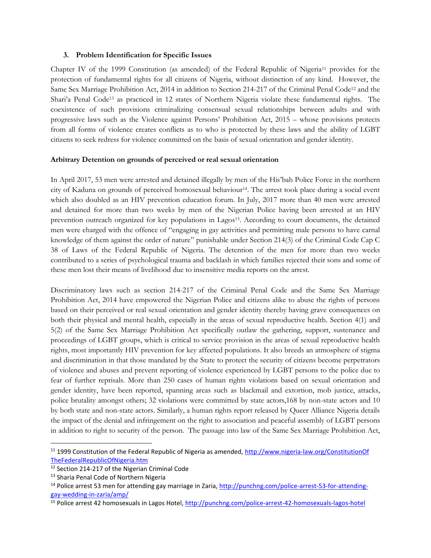#### **3. Problem Identification for Specific Issues**

Chapter IV of the 1999 Constitution (as amended) of the Federal Republic of Nigeria<sup>11</sup> provides for the protection of fundamental rights for all citizens of Nigeria, without distinction of any kind. However, the Same Sex Marriage Prohibition Act, 2014 in addition to Section 214-217 of the Criminal Penal Code<sup>12</sup> and the Shari'a Penal Code<sup>13</sup> as practiced in 12 states of Northern Nigeria violate these fundamental rights. The coexistence of such provisions criminalizing consensual sexual relationships between adults and with progressive laws such as the Violence against Persons' Prohibition Act, 2015 – whose provisions protects from all forms of violence creates conflicts as to who is protected by these laws and the ability of LGBT citizens to seek redress for violence committed on the basis of sexual orientation and gender identity.

#### **Arbitrary Detention on grounds of perceived or real sexual orientation**

In April 2017, 53 men were arrested and detained illegally by men of the His'bah Police Force in the northern city of Kaduna on grounds of perceived homosexual behaviour14. The arrest took place during a social event which also doubled as an HIV prevention education forum. In July, 2017 more than 40 men were arrested and detained for more than two weeks by men of the Nigerian Police having been arrested at an HIV prevention outreach organized for key populations in Lagos<sup>15</sup>. According to court documents, the detained men were charged with the offence of "engaging in gay activities and permitting male persons to have carnal knowledge of them against the order of nature" punishable under Section 214(3) of the Criminal Code Cap C 38 of Laws of the Federal Republic of Nigeria. The detention of the men for more than two weeks contributed to a series of psychological trauma and backlash in which families rejected their sons and some of these men lost their means of livelihood due to insensitive media reports on the arrest.

Discriminatory laws such as section 214-217 of the Criminal Penal Code and the Same Sex Marriage Prohibition Act, 2014 have empowered the Nigerian Police and citizens alike to abuse the rights of persons based on their perceived or real sexual orientation and gender identity thereby having grave consequences on both their physical and mental health, especially in the areas of sexual reproductive health. Section 4(1) and 5(2) of the Same Sex Marriage Prohibition Act specifically outlaw the gathering, support, sustenance and proceedings of LGBT groups, which is critical to service provision in the areas of sexual reproductive health rights, most importantly HIV prevention for key affected populations. It also breeds an atmosphere of stigma and discrimination in that those mandated by the State to protect the security of citizens become perpetrators of violence and abuses and prevent reporting of violence experienced by LGBT persons to the police due to fear of further reprisals. More than 250 cases of human rights violations based on sexual orientation and gender identity, have been reported, spanning areas such as blackmail and extortion, mob justice, attacks, police brutality amongst others; 32 violations were committed by state actors,168 by non-state actors and 10 by both state and non-state actors. Similarly, a human rights report released by Queer Alliance Nigeria details the impact of the denial and infringement on the right to association and peaceful assembly of LGBT persons in addition to right to security of the person. The passage into law of the Same Sex Marriage Prohibition Act,

 $\overline{\phantom{a}}$ 

<sup>11</sup> 1999 Constitution of the Federal Republic of Nigeria as amended, [http://www.nigeria-law.org/ConstitutionOf](http://www.nigeria-law.org/ConstitutionOf%20TheFederalRepublicOfNigeria.htm)  [TheFederalRepublicOfNigeria.htm](http://www.nigeria-law.org/ConstitutionOf%20TheFederalRepublicOfNigeria.htm)

<sup>12</sup> Section 214-217 of the Nigerian Criminal Code

<sup>&</sup>lt;sup>13</sup> Sharia Penal Code of Northern Nigeria

<sup>&</sup>lt;sup>14</sup> Police arrest 53 men for attending gay marriage in Zaria[, http://punchng.com/police-arrest-53-for-attending](http://punchng.com/police-arrest-53-for-attending-gay-wedding-in-zaria/amp/)[gay-wedding-in-zaria/amp/](http://punchng.com/police-arrest-53-for-attending-gay-wedding-in-zaria/amp/)

<sup>&</sup>lt;sup>15</sup> Police arrest 42 homosexuals in Lagos Hotel, http://punchng.com/police-arrest-42-homosexuals-lagos-hotel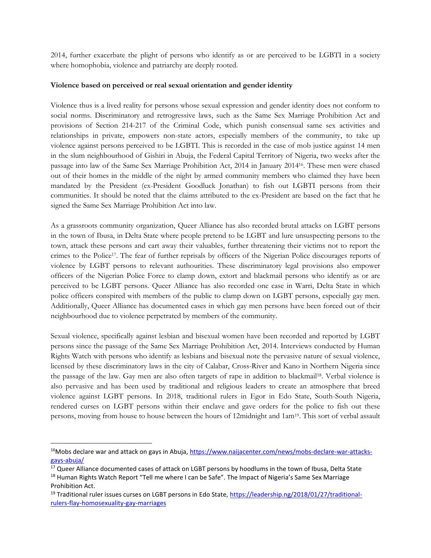2014, further exacerbate the plight of persons who identify as or are perceived to be LGBTI in a society where homophobia, violence and patriarchy are deeply rooted.

### **Violence based on perceived or real sexual orientation and gender identity**

Violence thus is a lived reality for persons whose sexual expression and gender identity does not conform to social norms. Discriminatory and retrogressive laws, such as the Same Sex Marriage Prohibition Act and provisions of Section 214-217 of the Criminal Code, which punish consensual same sex activities and relationships in private, empowers non-state actors, especially members of the community, to take up violence against persons perceived to be LGBTI. This is recorded in the case of mob justice against 14 men in the slum neighbourhood of Gishiri in Abuja, the Federal Capital Territory of Nigeria, two weeks after the passage into law of the Same Sex Marriage Prohibition Act, 2014 in January 201416. These men were chased out of their homes in the middle of the night by armed community members who claimed they have been mandated by the President (ex-President Goodluck Jonathan) to fish out LGBTI persons from their communities. It should be noted that the claims attributed to the ex-President are based on the fact that he signed the Same Sex Marriage Prohibition Act into law.

As a grassroots community organization, Queer Alliance has also recorded brutal attacks on LGBT persons in the town of Ibusa, in Delta State where people pretend to be LGBT and lure unsuspecting persons to the town, attack these persons and cart away their valuables, further threatening their victims not to report the crimes to the Police<sup>17</sup>. The fear of further reprisals by officers of the Nigerian Police discourages reports of violence by LGBT persons to relevant authourities. These discriminatory legal provisions also empower officers of the Nigerian Police Force to clamp down, extort and blackmail persons who identify as or are perceived to be LGBT persons. Queer Alliance has also recorded one case in Warri, Delta State in which police officers conspired with members of the public to clamp down on LGBT persons, especially gay men. Additionally, Queer Alliance has documented cases in which gay men persons have been forced out of their neighbourhood due to violence perpetrated by members of the community.

Sexual violence, specifically against lesbian and bisexual women have been recorded and reported by LGBT persons since the passage of the Same Sex Marriage Prohibition Act, 2014. Interviews conducted by Human Rights Watch with persons who identify as lesbians and bisexual note the pervasive nature of sexual violence, licensed by these discriminatory laws in the city of Calabar, Cross-River and Kano in Northern Nigeria since the passage of the law. Gay men are also often targets of rape in addition to blackmail<sup>18</sup>. Verbal violence is also pervasive and has been used by traditional and religious leaders to create an atmosphere that breed violence against LGBT persons. In 2018, traditional rulers in Egor in Edo State, South-South Nigeria, rendered curses on LGBT persons within their enclave and gave orders for the police to fish out these persons, moving from house to house between the hours of 12midnight and 1am19. This sort of verbal assault

 $\overline{\phantom{a}}$ 

<sup>&</sup>lt;sup>16</sup>Mobs declare war and attack on gays in Abuja[, https://www.naijacenter.com/news/mobs-declare-war-attacks](https://www.naijacenter.com/news/mobs-declare-war-attacks-gays-abuja/)[gays-abuja/](https://www.naijacenter.com/news/mobs-declare-war-attacks-gays-abuja/)

<sup>&</sup>lt;sup>17</sup> Queer Alliance documented cases of attack on LGBT persons by hoodlums in the town of Ibusa, Delta State

<sup>&</sup>lt;sup>18</sup> Human Rights Watch Report "Tell me where I can be Safe". The Impact of Nigeria's Same Sex Marriage Prohibition Act.

<sup>&</sup>lt;sup>19</sup> Traditional ruler issues curses on LGBT persons in Edo State, [https://leadership.ng/2018/01/27/traditional](https://leadership.ng/2018/01/27/traditional-rulers-flay-homosexuality-gay-marriages)[rulers-flay-homosexuality-gay-marriages](https://leadership.ng/2018/01/27/traditional-rulers-flay-homosexuality-gay-marriages)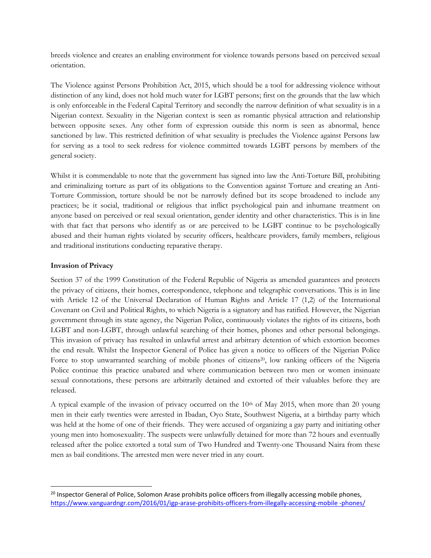breeds violence and creates an enabling environment for violence towards persons based on perceived sexual orientation.

The Violence against Persons Prohibition Act, 2015, which should be a tool for addressing violence without distinction of any kind, does not hold much water for LGBT persons; first on the grounds that the law which is only enforceable in the Federal Capital Territory and secondly the narrow definition of what sexuality is in a Nigerian context. Sexuality in the Nigerian context is seen as romantic physical attraction and relationship between opposite sexes. Any other form of expression outside this norm is seen as abnormal, hence sanctioned by law. This restricted definition of what sexuality is precludes the Violence against Persons law for serving as a tool to seek redress for violence committed towards LGBT persons by members of the general society.

Whilst it is commendable to note that the government has signed into law the Anti-Torture Bill, prohibiting and criminalizing torture as part of its obligations to the Convention against Torture and creating an Anti-Torture Commission, torture should be not be narrowly defined but its scope broadened to include any practices; be it social, traditional or religious that inflict psychological pain and inhumane treatment on anyone based on perceived or real sexual orientation, gender identity and other characteristics. This is in line with that fact that persons who identify as or are perceived to be LGBT continue to be psychologically abused and their human rights violated by security officers, healthcare providers, family members, religious and traditional institutions conducting reparative therapy.

### **Invasion of Privacy**

 $\overline{\phantom{a}}$ 

Section 37 of the 1999 Constitution of the Federal Republic of Nigeria as amended guarantees and protects the privacy of citizens, their homes, correspondence, telephone and telegraphic conversations. This is in line with Article 12 of the Universal Declaration of Human Rights and Article 17 (1,2) of the International Covenant on Civil and Political Rights, to which Nigeria is a signatory and has ratified. However, the Nigerian government through its state agency, the Nigerian Police, continuously violates the rights of its citizens, both LGBT and non-LGBT, through unlawful searching of their homes, phones and other personal belongings. This invasion of privacy has resulted in unlawful arrest and arbitrary detention of which extortion becomes the end result. Whilst the Inspector General of Police has given a notice to officers of the Nigerian Police Force to stop unwarranted searching of mobile phones of citizens<sup>20</sup>, low ranking officers of the Nigeria Police continue this practice unabated and where communication between two men or women insinuate sexual connotations, these persons are arbitrarily detained and extorted of their valuables before they are released.

A typical example of the invasion of privacy occurred on the 10th of May 2015, when more than 20 young men in their early twenties were arrested in Ibadan, Oyo State, Southwest Nigeria, at a birthday party which was held at the home of one of their friends. They were accused of organizing a gay party and initiating other young men into homosexuality. The suspects were unlawfully detained for more than 72 hours and eventually released after the police extorted a total sum of Two Hundred and Twenty-one Thousand Naira from these men as bail conditions. The arrested men were never tried in any court.

<sup>&</sup>lt;sup>20</sup> Inspector General of Police, Solomon Arase prohibits police officers from illegally accessing mobile phones, [https://www.vanguardngr.com/2016/01/igp-arase-prohibits-officers-from-illegally-accessing-mobile -phones/](https://www.vanguardngr.com/2016/01/igp-arase-prohibits-officers-from-illegally-accessing-mobile%20-phones/)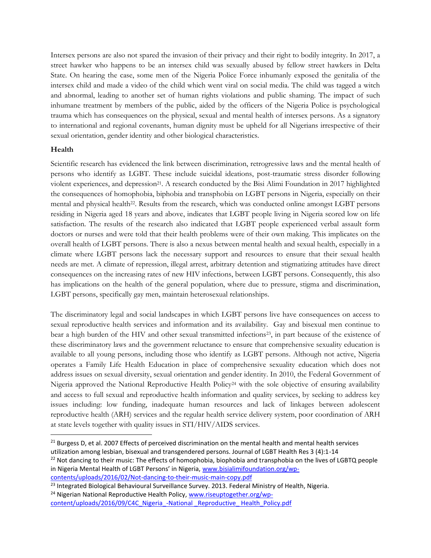Intersex persons are also not spared the invasion of their privacy and their right to bodily integrity. In 2017, a street hawker who happens to be an intersex child was sexually abused by fellow street hawkers in Delta State. On hearing the case, some men of the Nigeria Police Force inhumanly exposed the genitalia of the intersex child and made a video of the child which went viral on social media. The child was tagged a witch and abnormal, leading to another set of human rights violations and public shaming. The impact of such inhumane treatment by members of the public, aided by the officers of the Nigeria Police is psychological trauma which has consequences on the physical, sexual and mental health of intersex persons. As a signatory to international and regional covenants, human dignity must be upheld for all Nigerians irrespective of their sexual orientation, gender identity and other biological characteristics.

### **Health**

 $\overline{a}$ 

Scientific research has evidenced the link between discrimination, retrogressive laws and the mental health of persons who identify as LGBT. These include suicidal ideations, post-traumatic stress disorder following violent experiences, and depression<sup>21</sup>. A research conducted by the Bisi Alimi Foundation in 2017 highlighted the consequences of homophobia, biphobia and transphobia on LGBT persons in Nigeria, especially on their mental and physical health<sup>22</sup>. Results from the research, which was conducted online amongst LGBT persons residing in Nigeria aged 18 years and above, indicates that LGBT people living in Nigeria scored low on life satisfaction. The results of the research also indicated that LGBT people experienced verbal assault form doctors or nurses and were told that their health problems were of their own making. This implicates on the overall health of LGBT persons. There is also a nexus between mental health and sexual health, especially in a climate where LGBT persons lack the necessary support and resources to ensure that their sexual health needs are met. A climate of repression, illegal arrest, arbitrary detention and stigmatizing attitudes have direct consequences on the increasing rates of new HIV infections, between LGBT persons. Consequently, this also has implications on the health of the general population, where due to pressure, stigma and discrimination, LGBT persons, specifically gay men, maintain heterosexual relationships.

The discriminatory legal and social landscapes in which LGBT persons live have consequences on access to sexual reproductive health services and information and its availability. Gay and bisexual men continue to bear a high burden of the HIV and other sexual transmitted infections<sup>23</sup>, in part because of the existence of these discriminatory laws and the government reluctance to ensure that comprehensive sexuality education is available to all young persons, including those who identify as LGBT persons. Although not active, Nigeria operates a Family Life Health Education in place of comprehensive sexuality education which does not address issues on sexual diversity, sexual orientation and gender identity. In 2010, the Federal Government of Nigeria approved the National Reproductive Health Policy<sup>24</sup> with the sole objective of ensuring availability and access to full sexual and reproductive health information and quality services, by seeking to address key issues including: low funding, inadequate human resources and lack of linkages between adolescent reproductive health (ARH) services and the regular health service delivery system, poor coordination of ARH at state levels together with quality issues in STI/HIV/AIDS services.

<sup>22</sup> Not dancing to their music: The effects of homophobia, biophobia and transphobia on the lives of LGBTQ people in Nigeria Mental Health of LGBT Persons' in Nigeria, [www.bisialimifoundation.org/wp-](http://www.bisialimifoundation.org/wp-contents/uploads/2016/02/Not-dancing-to-their-music-main-copy.pdf)

[contents/uploads/2016/02/Not-dancing-to-their-music-main-copy.pdf](http://www.bisialimifoundation.org/wp-contents/uploads/2016/02/Not-dancing-to-their-music-main-copy.pdf)

[content/uploads/2016/09/C4C\\_Nigeria\\_-National \\_Reproductive\\_ Health\\_Policy.pdf](http://www.riseuptogether.org/wp-content/uploads/2016/09/C4C_Nigeria_-National%20_Reproductive_%20Health_Policy.pdf)

<sup>&</sup>lt;sup>21</sup> Burgess D, et al. 2007 Effects of perceived discrimination on the mental health and mental health services utilization among lesbian, bisexual and transgendered persons. Journal of LGBT Health Res 3 (4):1-14

<sup>&</sup>lt;sup>23</sup> Integrated Biological Behavioural Surveillance Survey. 2013. Federal Ministry of Health, Nigeria.

<sup>&</sup>lt;sup>24</sup> Nigerian National Reproductive Health Policy, [www.riseuptogether.org/wp-](http://www.riseuptogether.org/wp-content/uploads/2016/09/C4C_Nigeria_-National%20_Reproductive_%20Health_Policy.pdf)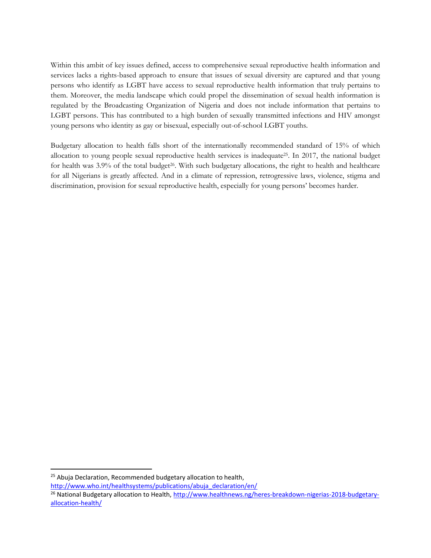Within this ambit of key issues defined, access to comprehensive sexual reproductive health information and services lacks a rights-based approach to ensure that issues of sexual diversity are captured and that young persons who identify as LGBT have access to sexual reproductive health information that truly pertains to them. Moreover, the media landscape which could propel the dissemination of sexual health information is regulated by the Broadcasting Organization of Nigeria and does not include information that pertains to LGBT persons. This has contributed to a high burden of sexually transmitted infections and HIV amongst young persons who identity as gay or bisexual, especially out-of-school LGBT youths.

Budgetary allocation to health falls short of the internationally recommended standard of 15% of which allocation to young people sexual reproductive health services is inadequate25. In 2017, the national budget for health was  $3.9\%$  of the total budget $26$ . With such budgetary allocations, the right to health and healthcare for all Nigerians is greatly affected. And in a climate of repression, retrogressive laws, violence, stigma and discrimination, provision for sexual reproductive health, especially for young persons' becomes harder.

 $25$  Abuja Declaration, Recommended budgetary allocation to health,

[http://www.who.int/healthsystems/publications/abuja\\_declaration/en/](http://www.who.int/healthsystems/publications/abuja_declaration/en/)

<sup>&</sup>lt;sup>26</sup> National Budgetary allocation to Health, [http://www.healthnews.ng/heres-breakdown-nigerias-2018-budgetary](http://www.healthnews.ng/heres-breakdown-nigerias-2018-budgetary-allocation-health/)[allocation-health/](http://www.healthnews.ng/heres-breakdown-nigerias-2018-budgetary-allocation-health/)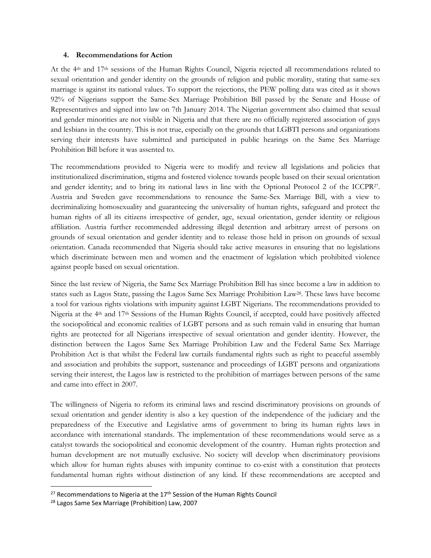#### **4. Recommendations for Action**

At the 4th and 17th sessions of the Human Rights Council, Nigeria rejected all recommendations related to sexual orientation and gender identity on the grounds of religion and public morality, stating that same-sex marriage is against its national values. To support the rejections, the PEW polling data was cited as it shows 92% of Nigerians support the Same-Sex Marriage Prohibition Bill passed by the Senate and House of Representatives and signed into law on 7th January 2014. The Nigerian government also claimed that sexual and gender minorities are not visible in Nigeria and that there are no officially registered association of gays and lesbians in the country. This is not true, especially on the grounds that LGBTI persons and organizations serving their interests have submitted and participated in public hearings on the Same Sex Marriage Prohibition Bill before it was assented to.

The recommendations provided to Nigeria were to modify and review all legislations and policies that institutionalized discrimination, stigma and fostered violence towards people based on their sexual orientation and gender identity; and to bring its national laws in line with the Optional Protocol 2 of the ICCPR<sup>27</sup>. Austria and Sweden gave recommendations to renounce the Same-Sex Marriage Bill, with a view to decriminalizing homosexuality and guaranteeing the universality of human rights, safeguard and protect the human rights of all its citizens irrespective of gender, age, sexual orientation, gender identity or religious affiliation. Austria further recommended addressing illegal detention and arbitrary arrest of persons on grounds of sexual orientation and gender identity and to release those held in prison on grounds of sexual orientation. Canada recommended that Nigeria should take active measures in ensuring that no legislations which discriminate between men and women and the enactment of legislation which prohibited violence against people based on sexual orientation.

Since the last review of Nigeria, the Same Sex Marriage Prohibition Bill has since become a law in addition to states such as Lagos State, passing the Lagos Same Sex Marriage Prohibition Law28. These laws have become a tool for various rights violations with impunity against LGBT Nigerians. The recommendations provided to Nigeria at the 4th and 17th Sessions of the Human Rights Council, if accepted, could have positively affected the sociopolitical and economic realities of LGBT persons and as such remain valid in ensuring that human rights are protected for all Nigerians irrespective of sexual orientation and gender identity. However, the distinction between the Lagos Same Sex Marriage Prohibition Law and the Federal Same Sex Marriage Prohibition Act is that whilst the Federal law curtails fundamental rights such as right to peaceful assembly and association and prohibits the support, sustenance and proceedings of LGBT persons and organizations serving their interest, the Lagos law is restricted to the prohibition of marriages between persons of the same and came into effect in 2007.

The willingness of Nigeria to reform its criminal laws and rescind discriminatory provisions on grounds of sexual orientation and gender identity is also a key question of the independence of the judiciary and the preparedness of the Executive and Legislative arms of government to bring its human rights laws in accordance with international standards. The implementation of these recommendations would serve as a catalyst towards the sociopolitical and economic development of the country. Human rights protection and human development are not mutually exclusive. No society will develop when discriminatory provisions which allow for human rights abuses with impunity continue to co-exist with a constitution that protects fundamental human rights without distinction of any kind. If these recommendations are accepted and

 $\overline{\phantom{a}}$ 

<sup>&</sup>lt;sup>27</sup> Recommendations to Nigeria at the  $17<sup>th</sup>$  Session of the Human Rights Council

<sup>28</sup> Lagos Same Sex Marriage (Prohibition) Law, 2007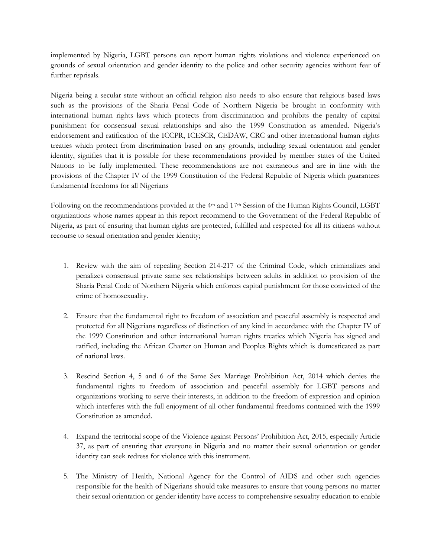implemented by Nigeria, LGBT persons can report human rights violations and violence experienced on grounds of sexual orientation and gender identity to the police and other security agencies without fear of further reprisals.

Nigeria being a secular state without an official religion also needs to also ensure that religious based laws such as the provisions of the Sharia Penal Code of Northern Nigeria be brought in conformity with international human rights laws which protects from discrimination and prohibits the penalty of capital punishment for consensual sexual relationships and also the 1999 Constitution as amended. Nigeria's endorsement and ratification of the ICCPR, ICESCR, CEDAW, CRC and other international human rights treaties which protect from discrimination based on any grounds, including sexual orientation and gender identity, signifies that it is possible for these recommendations provided by member states of the United Nations to be fully implemented. These recommendations are not extraneous and are in line with the provisions of the Chapter IV of the 1999 Constitution of the Federal Republic of Nigeria which guarantees fundamental freedoms for all Nigerians

Following on the recommendations provided at the 4<sup>th</sup> and 17<sup>th</sup> Session of the Human Rights Council, LGBT organizations whose names appear in this report recommend to the Government of the Federal Republic of Nigeria, as part of ensuring that human rights are protected, fulfilled and respected for all its citizens without recourse to sexual orientation and gender identity;

- 1. Review with the aim of repealing Section 214-217 of the Criminal Code, which criminalizes and penalizes consensual private same sex relationships between adults in addition to provision of the Sharia Penal Code of Northern Nigeria which enforces capital punishment for those convicted of the crime of homosexuality.
- 2. Ensure that the fundamental right to freedom of association and peaceful assembly is respected and protected for all Nigerians regardless of distinction of any kind in accordance with the Chapter IV of the 1999 Constitution and other international human rights treaties which Nigeria has signed and ratified, including the African Charter on Human and Peoples Rights which is domesticated as part of national laws.
- 3. Rescind Section 4, 5 and 6 of the Same Sex Marriage Prohibition Act, 2014 which denies the fundamental rights to freedom of association and peaceful assembly for LGBT persons and organizations working to serve their interests, in addition to the freedom of expression and opinion which interferes with the full enjoyment of all other fundamental freedoms contained with the 1999 Constitution as amended.
- 4. Expand the territorial scope of the Violence against Persons' Prohibition Act, 2015, especially Article 37, as part of ensuring that everyone in Nigeria and no matter their sexual orientation or gender identity can seek redress for violence with this instrument.
- 5. The Ministry of Health, National Agency for the Control of AIDS and other such agencies responsible for the health of Nigerians should take measures to ensure that young persons no matter their sexual orientation or gender identity have access to comprehensive sexuality education to enable